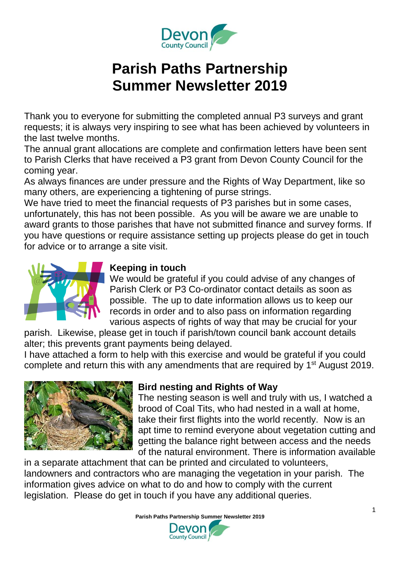

# **Parish Paths Partnership Summer Newsletter 2019**

Thank you to everyone for submitting the completed annual P3 surveys and grant requests; it is always very inspiring to see what has been achieved by volunteers in the last twelve months.

The annual grant allocations are complete and confirmation letters have been sent to Parish Clerks that have received a P3 grant from Devon County Council for the coming year.

As always finances are under pressure and the Rights of Way Department, like so many others, are experiencing a tightening of purse strings.

We have tried to meet the financial requests of P3 parishes but in some cases, unfortunately, this has not been possible. As you will be aware we are unable to award grants to those parishes that have not submitted finance and survey forms. If you have questions or require assistance setting up projects please do get in touch for advice or to arrange a site visit.



# **Keeping in touch**

We would be grateful if you could advise of any changes of Parish Clerk or P3 Co-ordinator contact details as soon as possible. The up to date information allows us to keep our records in order and to also pass on information regarding various aspects of rights of way that may be crucial for your

parish. Likewise, please get in touch if parish/town council bank account details alter; this prevents grant payments being delayed.

I have attached a form to help with this exercise and would be grateful if you could complete and return this with any amendments that are required by 1<sup>st</sup> August 2019.



## **Bird nesting and Rights of Way**

The nesting season is well and truly with us, I watched a brood of Coal Tits, who had nested in a wall at home, take their first flights into the world recently. Now is an apt time to remind everyone about vegetation cutting and getting the balance right between access and the needs of the natural environment. There is information available

in a separate attachment that can be printed and circulated to volunteers, landowners and contractors who are managing the vegetation in your parish. The information gives advice on what to do and how to comply with the current legislation. Please do get in touch if you have any additional queries.

**Parish Paths Partnership Summer Newsletter 2019**

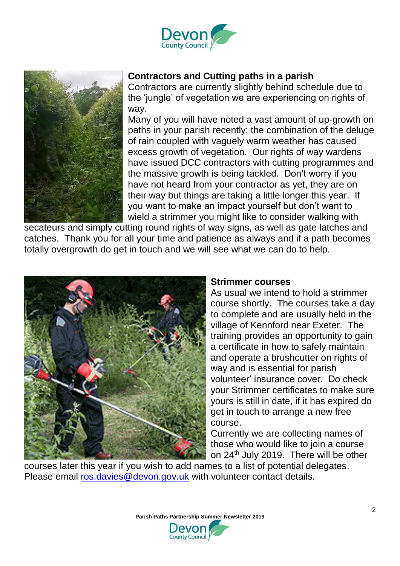



#### **Contractors and Cutting paths in a parish**

Contractors are currently slightly behind schedule due to the 'jungle' of vegetation we are experiencing on rights of way.

Many of you will have noted a vast amount of up-growth on paths in your parish recently; the combination of the deluge of rain coupled with vaguely warm weather has caused excess growth of vegetation. Our rights of way wardens have issued DCC contractors with cutting programmes and the massive growth is being tackled. Don't worry if you have not heard from your contractor as yet, they are on their way but things are taking a little longer this year. If you want to make an impact yourself but don't want to wield a strimmer you might like to consider walking with

secateurs and simply cutting round rights of way signs, as well as gate latches and catches. Thank you for all your time and patience as always and if a path becomes totally overgrowth do get in touch and we will see what we can do to help.



#### **Strimmer courses**

As usual we intend to hold a strimmer course shortly. The courses take a day to complete and are usually held in the village of Kennford near Exeter. The training provides an opportunity to gain a certificate in how to safely maintain and operate a brushcutter on rights of way and is essential for parish volunteer' insurance cover. Do check your Strimmer certificates to make sure yours is still in date, if it has expired do get in touch to arrange a new free course.

Currently we are collecting names of those who would like to join a course on 24th July 2019. There will be other

courses later this year if you wish to add names to a list of potential delegates. Please email [ros.davies@devon.gov.uk](mailto:ros.davies@devon.gov.uk) with volunteer contact details.

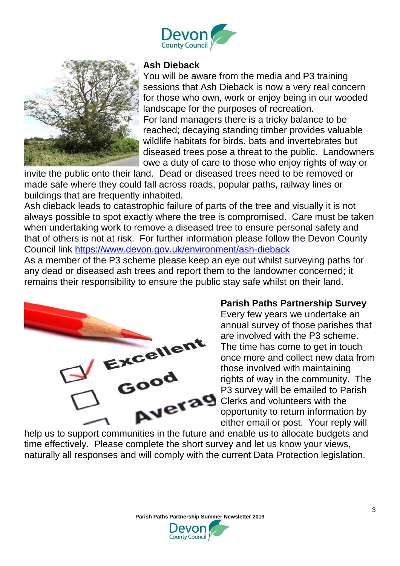



#### **Ash Dieback**

You will be aware from the media and P3 training sessions that Ash Dieback is now a very real concern for those who own, work or enjoy being in our wooded landscape for the purposes of recreation. For land managers there is a tricky balance to be reached; decaying standing timber provides valuable wildlife habitats for birds, bats and invertebrates but diseased trees pose a threat to the public. Landowners owe a duty of care to those who enjoy rights of way or

invite the public onto their land. Dead or diseased trees need to be removed or made safe where they could fall across roads, popular paths, railway lines or buildings that are frequently inhabited.

Ash dieback leads to catastrophic failure of parts of the tree and visually it is not always possible to spot exactly where the tree is compromised. Care must be taken when undertaking work to remove a diseased tree to ensure personal safety and that of others is not at risk. For further information please follow the Devon County Council link<https://www.devon.gov.uk/environment/ash-dieback>

As a member of the P3 scheme please keep an eye out whilst surveying paths for any dead or diseased ash trees and report them to the landowner concerned; it remains their responsibility to ensure the public stay safe whilst on their land.



#### **Parish Paths Partnership Survey**

Every few years we undertake an annual survey of those parishes that are involved with the P3 scheme. The time has come to get in touch once more and collect new data from those involved with maintaining rights of way in the community. The P3 survey will be emailed to Parish Clerks and volunteers with the opportunity to return information by either email or post. Your reply will

help us to support communities in the future and enable us to allocate budgets and time effectively. Please complete the short survey and let us know your views, naturally all responses and will comply with the current Data Protection legislation.

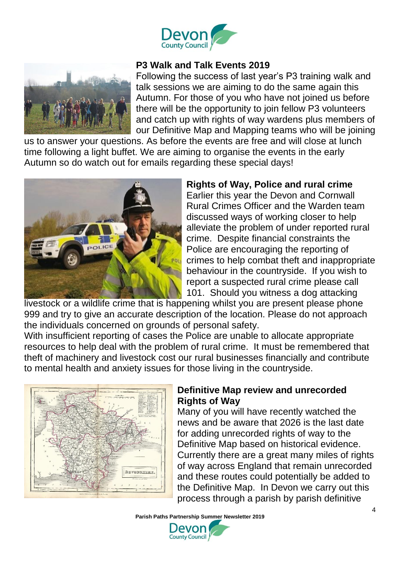



#### **P3 Walk and Talk Events 2019**

Following the success of last year's P3 training walk and talk sessions we are aiming to do the same again this Autumn. For those of you who have not joined us before there will be the opportunity to join fellow P3 volunteers and catch up with rights of way wardens plus members of our Definitive Map and Mapping teams who will be joining

us to answer your questions. As before the events are free and will close at lunch time following a light buffet. We are aiming to organise the events in the early Autumn so do watch out for emails regarding these special days!



## **Rights of Way, Police and rural crime**

Earlier this year the Devon and Cornwall Rural Crimes Officer and the Warden team discussed ways of working closer to help alleviate the problem of under reported rural crime. Despite financial constraints the Police are encouraging the reporting of crimes to help combat theft and inappropriate behaviour in the countryside. If you wish to report a suspected rural crime please call 101. Should you witness a dog attacking

livestock or a wildlife crime that is happening whilst you are present please phone 999 and try to give an accurate description of the location. Please do not approach the individuals concerned on grounds of personal safety.

With insufficient reporting of cases the Police are unable to allocate appropriate resources to help deal with the problem of rural crime. It must be remembered that theft of machinery and livestock cost our rural businesses financially and contribute to mental health and anxiety issues for those living in the countryside.



## **Definitive Map review and unrecorded Rights of Way**

Many of you will have recently watched the news and be aware that 2026 is the last date for adding unrecorded rights of way to the Definitive Map based on historical evidence. Currently there are a great many miles of rights of way across England that remain unrecorded and these routes could potentially be added to the Definitive Map. In Devon we carry out this process through a parish by parish definitive

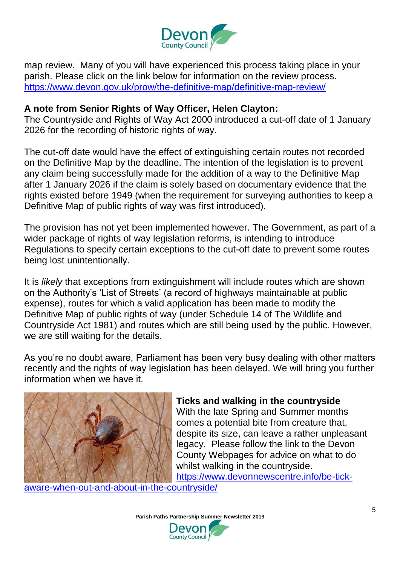

map review. Many of you will have experienced this process taking place in your parish. Please click on the link below for information on the review process. <https://www.devon.gov.uk/prow/the-definitive-map/definitive-map-review/>

#### **A note from Senior Rights of Way Officer, Helen Clayton:**

The Countryside and Rights of Way Act 2000 introduced a cut-off date of 1 January 2026 for the recording of historic rights of way.

The cut-off date would have the effect of extinguishing certain routes not recorded on the Definitive Map by the deadline. The intention of the legislation is to prevent any claim being successfully made for the addition of a way to the Definitive Map after 1 January 2026 if the claim is solely based on documentary evidence that the rights existed before 1949 (when the requirement for surveying authorities to keep a Definitive Map of public rights of way was first introduced).

The provision has not yet been implemented however. The Government, as part of a wider package of rights of way legislation reforms, is intending to introduce Regulations to specify certain exceptions to the cut-off date to prevent some routes being lost unintentionally.

It is *likely* that exceptions from extinguishment will include routes which are shown on the Authority's 'List of Streets' (a record of highways maintainable at public expense), routes for which a valid application has been made to modify the Definitive Map of public rights of way (under Schedule 14 of The Wildlife and Countryside Act 1981) and routes which are still being used by the public. However, we are still waiting for the details.

As you're no doubt aware, Parliament has been very busy dealing with other matters recently and the rights of way legislation has been delayed. We will bring you further information when we have it.



#### **Ticks and walking in the countryside**

With the late Spring and Summer months comes a potential bite from creature that, despite its size, can leave a rather unpleasant legacy. Please follow the link to the Devon County Webpages for advice on what to do whilst walking in the countryside.

[https://www.devonnewscentre.info/be-tick-](https://www.devonnewscentre.info/be-tick-aware-when-out-and-about-in-the-countryside/)

[aware-when-out-and-about-in-the-countryside/](https://www.devonnewscentre.info/be-tick-aware-when-out-and-about-in-the-countryside/)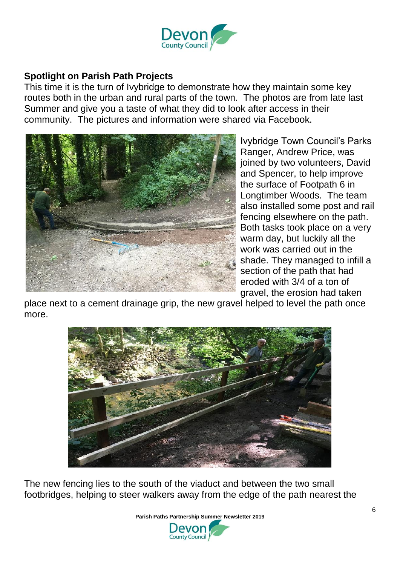

## **Spotlight on Parish Path Projects**

This time it is the turn of Ivybridge to demonstrate how they maintain some key routes both in the urban and rural parts of the town. The photos are from late last Summer and give you a taste of what they did to look after access in their community. The pictures and information were shared via Facebook.



Ivybridge Town Council's Parks Ranger, Andrew Price, was joined by two volunteers, David and Spencer, to help improve the surface of Footpath 6 in Longtimber Woods. The team also installed some post and rail fencing elsewhere on the path. Both tasks took place on a very warm day, but luckily all the work was carried out in the shade. They managed to infill a section of the path that had eroded with 3/4 of a ton of gravel, the erosion had taken

place next to a cement drainage grip, the new gravel helped to level the path once more.



The new fencing lies to the south of the viaduct and between the two small footbridges, helping to steer walkers away from the edge of the path nearest the

**Parish Paths Partnership Summer Newsletter 2019**